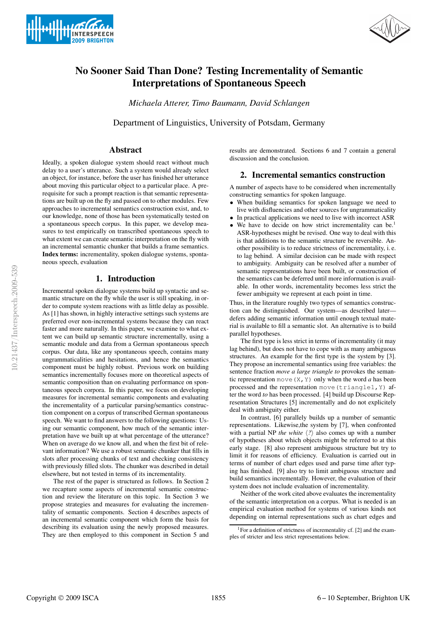



# **No Sooner Said Than Done? Testing Incrementality of Semantic Interpretations of Spontaneous Speech**

*Michaela Atterer, Timo Baumann, David Schlangen*

Department of Linguistics, University of Potsdam, Germany

## **Abstract**

Ideally, a spoken dialogue system should react without much delay to a user's utterance. Such a system would already select an object, for instance, before the user has finished her utterance about moving this particular object to a particular place. A prerequisite for such a prompt reaction is that semantic representations are built up on the fly and passed on to other modules. Few approaches to incremental semantics construction exist, and, to our knowledge, none of those has been systematically tested on a spontaneous speech corpus. In this paper, we develop measures to test empirically on transcribed spontaneous speech to what extent we can create semantic interpretation on the fly with an incremental semantic chunker that builds a frame semantics. **Index terms:** incrementality, spoken dialogue systems, spontaneous speech, evaluation

## **1. Introduction**

Incremental spoken dialogue systems build up syntactic and semantic structure on the fly while the user is still speaking, in order to compute system reactions with as little delay as possible. As [1] has shown, in highly interactive settings such systems are preferred over non-incremental systems because they can react faster and more naturally. In this paper, we examine to what extent we can build up semantic structure incrementally, using a semantic module and data from a German spontaneous speech corpus. Our data, like any spontaneous speech, contains many ungrammaticalities and hesitations, and hence the semantics component must be highly robust. Previous work on building semantics incrementally focuses more on theoretical aspects of semantic composition than on evaluating performance on spontaneous speech corpora. In this paper, we focus on developing measures for incremental semantic components and evaluating the incrementality of a particular parsing/semantics construction component on a corpus of transcribed German spontaneous speech. We want to find answers to the following questions: Using our semantic component, how much of the semantic interpretation have we built up at what percentage of the utterance? When on average do we know all, and when the first bit of relevant information? We use a robust semantic chunker that fills in slots after processing chunks of text and checking consistency with previously filled slots. The chunker was described in detail elsewhere, but not tested in terms of its incrementality.

The rest of the paper is structured as follows. In Section 2 we recapture some aspects of incremental semantic construction and review the literature on this topic. In Section 3 we propose strategies and measures for evaluating the incrementality of semantic components. Section 4 describes aspects of an incremental semantic component which form the basis for describing its evaluation using the newly proposed measures. They are then employed to this component in Section 5 and results are demonstrated. Sections 6 and 7 contain a general discussion and the conclusion.

## **2. Incremental semantics construction**

A number of aspects have to be considered when incrementally constructing semantics for spoken language.

- When building semantics for spoken language we need to live with disfluencies and other sources for ungrammaticality
- In practical applications we need to live with incorrect ASR
- We have to decide on how strict incrementality can be.<sup>1</sup> ASR-hypotheses might be revised. One way to deal with this is that additions to the semantic structure be reversible. Another possibility is to reduce strictness of incrementality, i. e. to lag behind. A similar decision can be made with respect to ambiguity. Ambiguity can be resolved after a number of semantic representations have been built, or construction of the semantics can be deferred until more information is available. In other words, incrementality becomes less strict the fewer ambiguity we represent at each point in time.

Thus, in the literature roughly two types of semantics construction can be distinguished. Our system—as described later defers adding semantic information until enough textual material is available to fill a semantic slot. An alternative is to build parallel hypotheses.

The first type is less strict in terms of incrementality (it may lag behind), but does not have to cope with as many ambiguous structures. An example for the first type is the system by [3]. They propose an incremental semantics using free variables: the sentence fraction *move a large triangle to* provokes the semantic representation move  $(X, Y)$  only when the word *a* has been processed and the representation move(triangle1,Y) after the word *to* has been processed. [4] build up Discourse Representation Structures [5] incrementally and do not explicitely deal with ambiguity either.

In contrast, [6] parallely builds up a number of semantic representations. Likewise,the system by [7], when confronted with a partial NP *the white*  $\langle ? \rangle$  also comes up with a number of hypotheses about which objects might be referred to at this early stage. [8] also represent ambiguous structure but try to limit it for reasons of efficiency. Evaluation is carried out in terms of number of chart edges used and parse time after typing has finished. [9] also try to limit ambiguous structure and build semantics incrementally. However, the evaluation of their system does not include evaluation of incrementality.

Neither of the work cited above evaluates the incrementality of the semantic interpretation on a corpus. What is needed is an empirical evaluation method for systems of various kinds not depending on internal representations such as chart edges and

<sup>&</sup>lt;sup>1</sup>For a definition of strictness of incrementality cf. [2] and the examples of stricter and less strict representations below.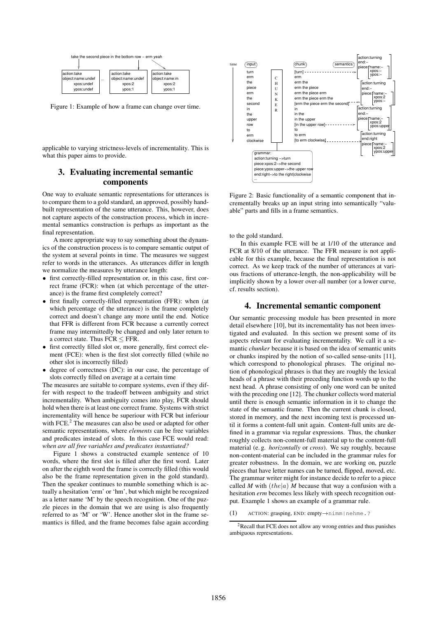

Figure 1: Example of how a frame can change over time.

applicable to varying strictness-levels of incrementality. This is what this paper aims to provide.

# **3. Evaluating incremental semantic components**

One way to evaluate semantic representations for utterances is to compare them to a gold standard, an approved, possibly handbuilt representation of the same utterance. This, however, does not capture aspects of the construction process, which in incremental semantics construction is perhaps as important as the final representation.

A more appropriate way to say something about the dynamics of the construction process is to compare semantic output of the system at several points in time. The measures we suggest refer to words in the utterances. As utterances differ in length we normalize the measures by utterance length:

- first correctly-filled representation or, in this case, first correct frame (FCR): when (at which percentage of the utterance) is the frame first completely correct?
- first finally correctly-filled representation (FFR): when (at which percentage of the utterance) is the frame completely correct and doesn't change any more until the end. Notice that FFR is different from FCR because a currently correct frame may intermittedly be changed and only later return to a correct state. Thus FCR ≤ FFR.
- first correctly filled slot or, more generally, first correct element (FCE): when is the first slot correctly filled (while no other slot is incorrectly filled)
- degree of correctness (DC): in our case, the percentage of slots correctly filled on average at a certain time

The measures are suitable to compare systems, even if they differ with respect to the tradeoff between ambiguity and strict incrementality. When ambiguity comes into play, FCR should hold when there is at least one correct frame. Systems with strict incrementality will hence be superiour with FCR but inferiour with FCE. $<sup>2</sup>$  The measures can also be used or adapted for other</sup> semantic representations, where *elements* can be free variables and predicates instead of slots. In this case FCE would read: *when are all free variables and predicates instantiated?*

Figure 1 shows a constructed example sentence of 10 words, where the first slot is filled after the first word. Later on after the eighth word the frame is correctly filled (this would also be the frame representation given in the gold standard). Then the speaker continues to mumble something which is actually a hesitation 'erm' or 'hm', but which might be recognized as a letter name 'M' by the speech recognition. One of the puzzle pieces in the domain that we are using is also frequently referred to as 'M' or 'W'. Hence another slot in the frame semantics is filled, and the frame becomes false again according



Figure 2: Basic functionality of a semantic component that incrementally breaks up an input string into semantically "valuable" parts and fills in a frame semantics.

to the gold standard.

In this example FCE will be at 1/10 of the utterance and FCR at 8/10 of the utterance. The FFR measure is not applicable for this example, because the final representation is not correct. As we keep track of the number of utterances at various fractions of utterance-length, the non-applicability will be implicitly shown by a lower over-all number (or a lower curve, cf. results section).

### **4. Incremental semantic component**

Our semantic processing module has been presented in more detail elsewhere [10], but its incrementality has not been investigated and evaluated. In this section we present some of its aspects relevant for evaluating incrementality. We call it a semantic *chunker* because it is based on the idea of semantic units or chunks inspired by the notion of so-called sense-units [11], which correspond to phonological phrases. The original notion of phonological phrases is that they are roughly the lexical heads of a phrase with their preceding function words up to the next head. A phrase consisting of only one word can be united with the preceding one [12]. The chunker collects word material until there is enough semantic information in it to change the state of the semantic frame. Then the current chunk is closed, stored in memory, and the next incoming text is processed until it forms a content-full unit again. Content-full units are defined in a grammar via regular expressions. Thus, the chunker roughly collects non-content-full material up to the content-full material (e. g. *horizontally* or *cross*). We say roughly, because non-content-material can be included in the grammar rules for greater robustness. In the domain, we are working on, puzzle pieces that have letter names can be turned, flipped, moved, etc. The grammar writer might for instance decide to refer to a piece called *M* with  $(the|a)$  *M* because that way a confusion with a hesitation *erm* becomes less likely with speech recognition output. Example 1 shows an example of a grammar rule.

(1) ACTION: grasping, END: empty→nimm|nehme.?

<sup>2</sup>Recall that FCE does not allow any wrong entries and thus punishes ambiguous representations.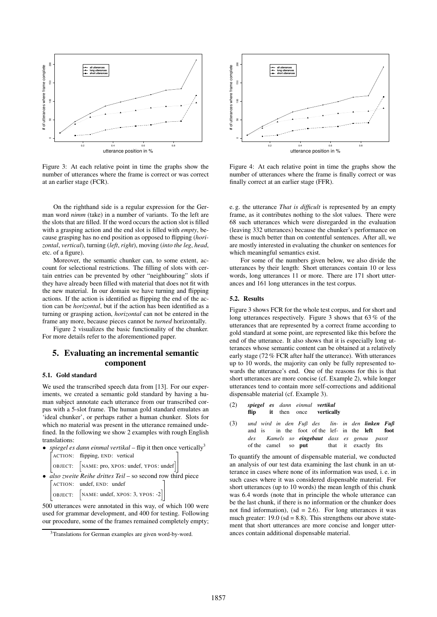

Figure 3: At each relative point in time the graphs show the number of utterances where the frame is correct or was correct at an earlier stage (FCR).

On the righthand side is a regular expression for the German word *nimm* (take) in a number of variants. To the left are the slots that are filled. If the word occurs the action slot is filled with a grasping action and the end slot is filled with *empty*, because grasping has no end position as opposed to flipping (*horizontal*, *vertical*), turning (*left*, *right*), moving (*into the leg*, *head*, etc. of a figure).

Moreover, the semantic chunker can, to some extent, account for selectional restrictions. The filling of slots with certain entries can be prevented by other "neighbouring" slots if they have already been filled with material that does not fit with the new material. In our domain we have turning and flipping actions. If the action is identified as flipping the end of the action can be *horizontal*, but if the action has been identified as a turning or grasping action, *horizontal* can not be entered in the frame any more, because pieces cannot be *turned* horizontally.

Figure 2 visualizes the basic functionality of the chunker. For more details refer to the aforementioned paper.

# **5. Evaluating an incremental semantic component**

## **5.1. Gold standard**

We used the transcribed speech data from [13]. For our experiments, we created a semantic gold standard by having a human subject annotate each utterance from our transcribed corpus with a 5-slot frame. The human gold standard emulates an 'ideal chunker', or perhaps rather a human chunker. Slots for which no material was present in the utterance remained undefined. In the following we show 2 examples with rough English translations:

| • <i>spiegel es dann einmal vertikal</i> – flip it then once vertically <sup>3</sup> |                                                                          |  |
|--------------------------------------------------------------------------------------|--------------------------------------------------------------------------|--|
|                                                                                      | ACTION: flipping, END: vertical                                          |  |
|                                                                                      | $\vert$ OBJECT: $\vert$ NAME: pro, XPOS: undef, YPOS: undef $\vert\vert$ |  |

• *also zweite Reihe drittes Teil* – so second row third piece 2 ACTION: undef, END: undef 1

4 OBJECT:  $[NAME: under, XPOS: 3, YPOS: -2]$  $\overline{1}$ 

500 utterances were annotated in this way, of which 100 were used for grammar development, and 400 for testing. Following our procedure, some of the frames remained completely empty;



Figure 4: At each relative point in time the graphs show the number of utterances where the frame is finally correct or was finally correct at an earlier stage (FFR).

e. g. the utterance *That is difficult* is represented by an empty frame, as it contributes nothing to the slot values. There were 68 such utterances which were disregarded in the evaluation (leaving 332 utterances) because the chunker's performance on these is much better than on contentful sentences. After all, we are mostly interested in evaluating the chunker on sentences for which meaningful semantics exist.

For some of the numbers given below, we also divide the utterances by their length: Short utterances contain 10 or less words, long utterances 11 or more. There are 171 short utterances and 161 long utterances in the test corpus.

#### **5.2. Results**

Figure 3 shows FCR for the whole test corpus, and for short and long utterances respectively. Figure 3 shows that 63 % of the utterances that are represented by a correct frame according to gold standard at some point, are represented like this before the end of the utterance. It also shows that it is especially long utterances whose semantic content can be obtained at a relatively early stage (72 % FCR after half the utterance). With utterances up to 10 words, the majority can only be fully represented towards the utterance's end. One of the reasons for this is that short utterances are more concise (cf. Example 2), while longer utterances tend to contain more self-corrections and additional dispensable material (cf. Example 3).

(2) *spiegel* **flip** *es* **it** *dann* then *einmal* once *vertikal* **vertically**

(3) *und wird in den Fuß des* and is in the foot of the lef- in the *lin-in den linken Fuß* **left foot** *des* of the camel *Kamels so eingebaut dass es genau passt* so **put** that it exactly fits

To quantify the amount of dispensable material, we conducted an analysis of our test data examining the last chunk in an utterance in cases where none of its information was used, i. e. in such cases where it was considered dispensable material. For short utterances (up to 10 words) the mean length of this chunk was 6.4 words (note that in principle the whole utterance can be the last chunk, if there is no information or the chunker does not find information),  $(sd = 2.6)$ . For long utterances it was much greater:  $19.0$  (sd = 8.8). This strengthens our above statement that short utterances are more concise and longer utterances contain additional dispensable material.

<sup>&</sup>lt;sup>3</sup>Translations for German examples are given word-by-word.